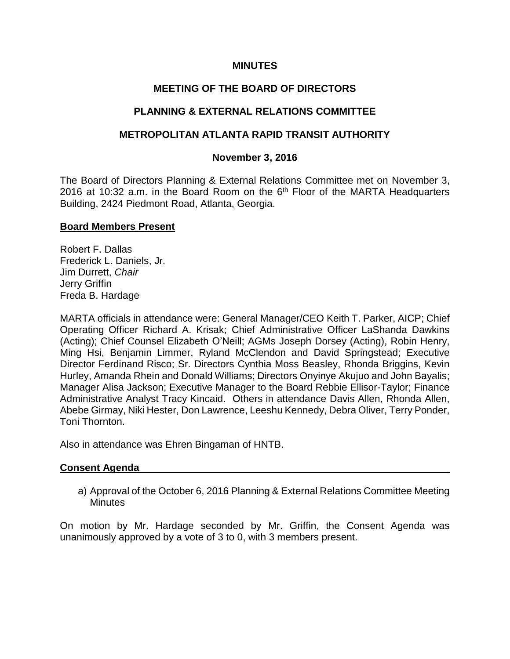### **MINUTES**

## **MEETING OF THE BOARD OF DIRECTORS**

## **PLANNING & EXTERNAL RELATIONS COMMITTEE**

## **METROPOLITAN ATLANTA RAPID TRANSIT AUTHORITY**

### **November 3, 2016**

The Board of Directors Planning & External Relations Committee met on November 3, 2016 at 10:32 a.m. in the Board Room on the  $6<sup>th</sup>$  Floor of the MARTA Headquarters Building, 2424 Piedmont Road, Atlanta, Georgia.

### **Board Members Present**

Robert F. Dallas Frederick L. Daniels, Jr. Jim Durrett, *Chair* Jerry Griffin Freda B. Hardage

MARTA officials in attendance were: General Manager/CEO Keith T. Parker, AICP; Chief Operating Officer Richard A. Krisak; Chief Administrative Officer LaShanda Dawkins (Acting); Chief Counsel Elizabeth O'Neill; AGMs Joseph Dorsey (Acting), Robin Henry, Ming Hsi, Benjamin Limmer, Ryland McClendon and David Springstead; Executive Director Ferdinand Risco; Sr. Directors Cynthia Moss Beasley, Rhonda Briggins, Kevin Hurley, Amanda Rhein and Donald Williams; Directors Onyinye Akujuo and John Bayalis; Manager Alisa Jackson; Executive Manager to the Board Rebbie Ellisor-Taylor; Finance Administrative Analyst Tracy Kincaid. Others in attendance Davis Allen, Rhonda Allen, Abebe Girmay, Niki Hester, Don Lawrence, Leeshu Kennedy, Debra Oliver, Terry Ponder, Toni Thornton.

Also in attendance was Ehren Bingaman of HNTB.

#### **Consent Agenda**

a) Approval of the October 6, 2016 Planning & External Relations Committee Meeting **Minutes** 

On motion by Mr. Hardage seconded by Mr. Griffin, the Consent Agenda was unanimously approved by a vote of 3 to 0, with 3 members present.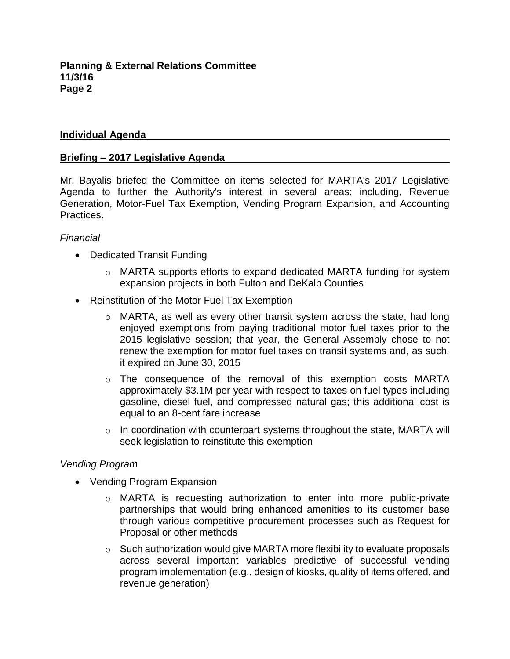### **Individual Agenda**

#### **Briefing – 2017 Legislative Agenda**

Mr. Bayalis briefed the Committee on items selected for MARTA's 2017 Legislative Agenda to further the Authority's interest in several areas; including, Revenue Generation, Motor-Fuel Tax Exemption, Vending Program Expansion, and Accounting Practices.

### *Financial*

- Dedicated Transit Funding
	- o MARTA supports efforts to expand dedicated MARTA funding for system expansion projects in both Fulton and DeKalb Counties
- Reinstitution of the Motor Fuel Tax Exemption
	- $\circ$  MARTA, as well as every other transit system across the state, had long enjoyed exemptions from paying traditional motor fuel taxes prior to the 2015 legislative session; that year, the General Assembly chose to not renew the exemption for motor fuel taxes on transit systems and, as such, it expired on June 30, 2015
	- $\circ$  The consequence of the removal of this exemption costs MARTA approximately \$3.1M per year with respect to taxes on fuel types including gasoline, diesel fuel, and compressed natural gas; this additional cost is equal to an 8-cent fare increase
	- $\circ$  In coordination with counterpart systems throughout the state, MARTA will seek legislation to reinstitute this exemption

## *Vending Program*

- Vending Program Expansion
	- $\circ$  MARTA is requesting authorization to enter into more public-private partnerships that would bring enhanced amenities to its customer base through various competitive procurement processes such as Request for Proposal or other methods
	- o Such authorization would give MARTA more flexibility to evaluate proposals across several important variables predictive of successful vending program implementation (e.g., design of kiosks, quality of items offered, and revenue generation)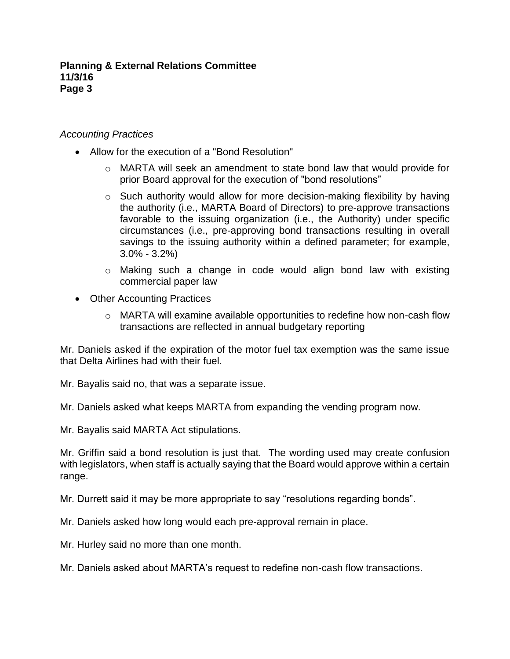## *Accounting Practices*

- Allow for the execution of a "Bond Resolution"
	- $\circ$  MARTA will seek an amendment to state bond law that would provide for prior Board approval for the execution of "bond resolutions"
	- o Such authority would allow for more decision-making flexibility by having the authority (i.e., MARTA Board of Directors) to pre-approve transactions favorable to the issuing organization (i.e., the Authority) under specific circumstances (i.e., pre-approving bond transactions resulting in overall savings to the issuing authority within a defined parameter; for example, 3.0% - 3.2%)
	- o Making such a change in code would align bond law with existing commercial paper law
- Other Accounting Practices
	- o MARTA will examine available opportunities to redefine how non-cash flow transactions are reflected in annual budgetary reporting

Mr. Daniels asked if the expiration of the motor fuel tax exemption was the same issue that Delta Airlines had with their fuel.

Mr. Bayalis said no, that was a separate issue.

Mr. Daniels asked what keeps MARTA from expanding the vending program now.

Mr. Bayalis said MARTA Act stipulations.

Mr. Griffin said a bond resolution is just that. The wording used may create confusion with legislators, when staff is actually saying that the Board would approve within a certain range.

Mr. Durrett said it may be more appropriate to say "resolutions regarding bonds".

Mr. Daniels asked how long would each pre-approval remain in place.

Mr. Hurley said no more than one month.

Mr. Daniels asked about MARTA's request to redefine non-cash flow transactions.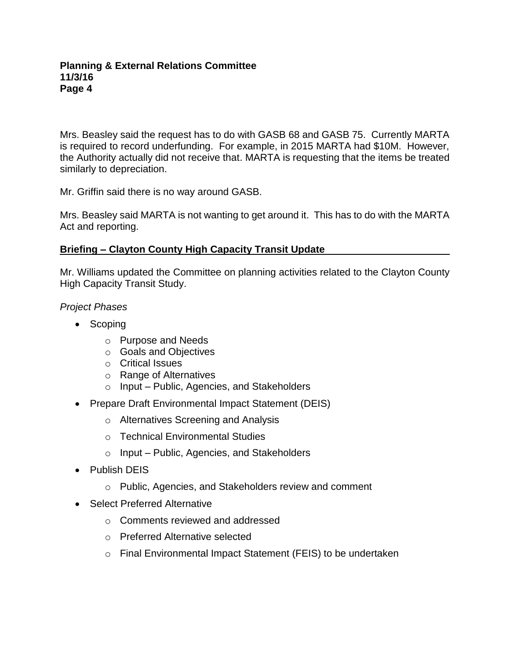Mrs. Beasley said the request has to do with GASB 68 and GASB 75. Currently MARTA is required to record underfunding. For example, in 2015 MARTA had \$10M. However, the Authority actually did not receive that. MARTA is requesting that the items be treated similarly to depreciation.

Mr. Griffin said there is no way around GASB.

Mrs. Beasley said MARTA is not wanting to get around it. This has to do with the MARTA Act and reporting.

## **Briefing – Clayton County High Capacity Transit Update**

Mr. Williams updated the Committee on planning activities related to the Clayton County High Capacity Transit Study.

*Project Phases*

- Scoping
	- o Purpose and Needs
	- o Goals and Objectives
	- o Critical Issues
	- o Range of Alternatives
	- o Input Public, Agencies, and Stakeholders
- Prepare Draft Environmental Impact Statement (DEIS)
	- o Alternatives Screening and Analysis
	- o Technical Environmental Studies
	- o Input Public, Agencies, and Stakeholders
- Publish DEIS
	- o Public, Agencies, and Stakeholders review and comment
- Select Preferred Alternative
	- o Comments reviewed and addressed
	- o Preferred Alternative selected
	- o Final Environmental Impact Statement (FEIS) to be undertaken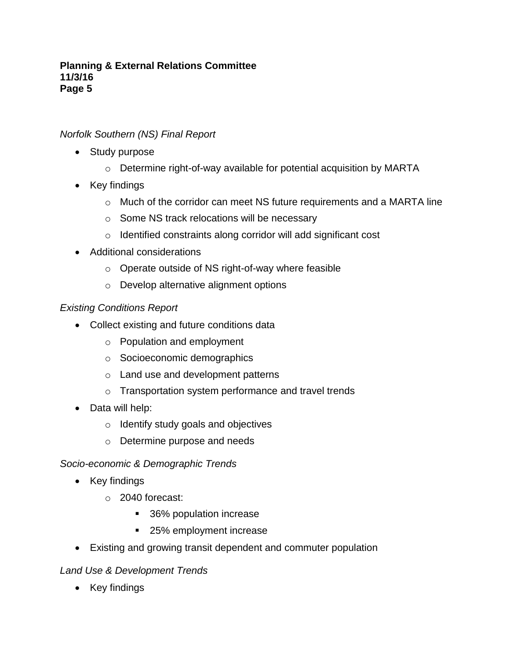# *Norfolk Southern (NS) Final Report*

- Study purpose
	- o Determine right-of-way available for potential acquisition by MARTA
- Key findings
	- o Much of the corridor can meet NS future requirements and a MARTA line
	- o Some NS track relocations will be necessary
	- o Identified constraints along corridor will add significant cost
- Additional considerations
	- o Operate outside of NS right-of-way where feasible
	- o Develop alternative alignment options

## *Existing Conditions Report*

- Collect existing and future conditions data
	- o Population and employment
	- o Socioeconomic demographics
	- o Land use and development patterns
	- o Transportation system performance and travel trends
- Data will help:
	- o Identify study goals and objectives
	- o Determine purpose and needs

## *Socio-economic & Demographic Trends*

- Key findings
	- o 2040 forecast:
		- 36% population increase
		- 25% employment increase
- Existing and growing transit dependent and commuter population

## *Land Use & Development Trends*

• Key findings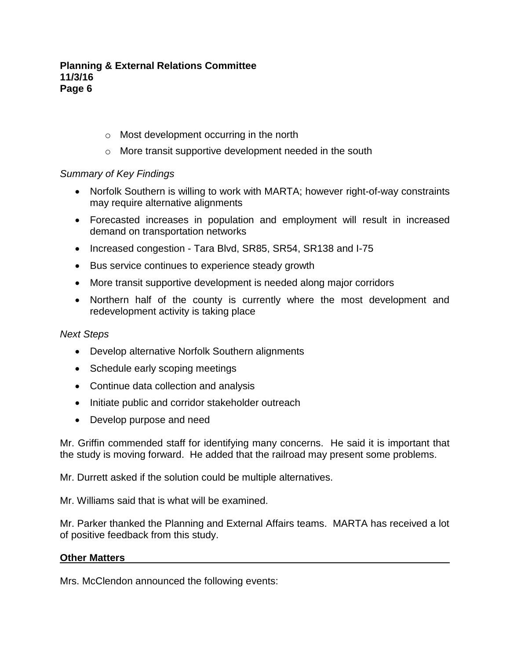- o Most development occurring in the north
- o More transit supportive development needed in the south

## *Summary of Key Findings*

- Norfolk Southern is willing to work with MARTA; however right-of-way constraints may require alternative alignments
- Forecasted increases in population and employment will result in increased demand on transportation networks
- Increased congestion Tara Blvd, SR85, SR54, SR138 and I-75
- Bus service continues to experience steady growth
- More transit supportive development is needed along major corridors
- Northern half of the county is currently where the most development and redevelopment activity is taking place

## *Next Steps*

- Develop alternative Norfolk Southern alignments
- Schedule early scoping meetings
- Continue data collection and analysis
- Initiate public and corridor stakeholder outreach
- Develop purpose and need

Mr. Griffin commended staff for identifying many concerns. He said it is important that the study is moving forward. He added that the railroad may present some problems.

Mr. Durrett asked if the solution could be multiple alternatives.

Mr. Williams said that is what will be examined.

Mr. Parker thanked the Planning and External Affairs teams. MARTA has received a lot of positive feedback from this study.

## **Other Matters**

Mrs. McClendon announced the following events: